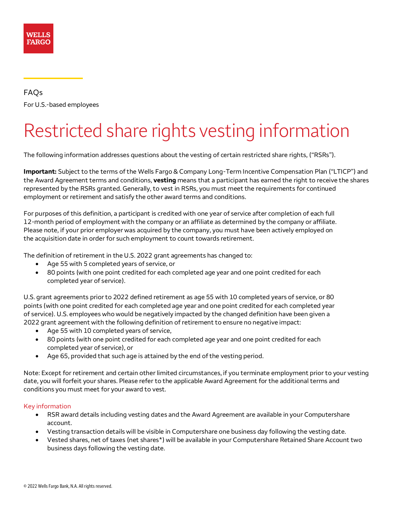

FAQs For U.S.-based employees

# Restricted share rights vesting information

The following information addresses questions about the vesting of certain restricted share rights, ("RSRs").

**Important:** Subject to the terms of the Wells Fargo & Company Long-Term Incentive Compensation Plan ("LTICP") and the Award Agreement terms and conditions, **vesting** means that a participant has earned the right to receive the shares represented by the RSRs granted. Generally, to vest in RSRs, you must meet the requirements for continued employment or retirement and satisfy the other award terms and conditions.

For purposes of this definition, a participant is credited with one year of service after completion of each full 12-month period of employment with the company or an affiliate as determined by the company or affiliate. Please note, if your prior employer was acquired by the company, you must have been actively employed on the acquisition date in order for such employment to count towards retirement.

The definition of retirement in the U.S. 2022 grant agreements has changed to:

- Age 55 with 5 completed years of service, or
- 80 points (with one point credited for each completed age year and one point credited for each completed year of service).

U.S. grant agreements prior to 2022 defined retirement as age 55 with 10 completed years of service, or 80 points (with one point credited for each completed age year and one point credited for each completed year of service). U.S. employees who would be negatively impacted by the changed definition have been given a 2022 grant agreement with the following definition of retirement to ensure no negative impact:

- Age 55 with 10 completed years of service,
- 80 points (with one point credited for each completed age year and one point credited for each completed year of service), or
- Age 65, provided that such age is attained by the end of the vesting period.

Note: Except for retirement and certain other limited circumstances, if you terminate employment prior to your vesting date, you will forfeit your shares. Please refer to the applicable Award Agreement for the additional terms and conditions you must meet for your award to vest.

#### Key information

- RSR award details including vesting dates and the Award Agreement are available in your Computershare account.
- Vesting transaction details will be visible in Computershare one business day following the vesting date.
- Vested shares, net of taxes (net share[s\\*](#page-9-0)) will be available in your Computershare Retained Share Account two business days following the vesting date.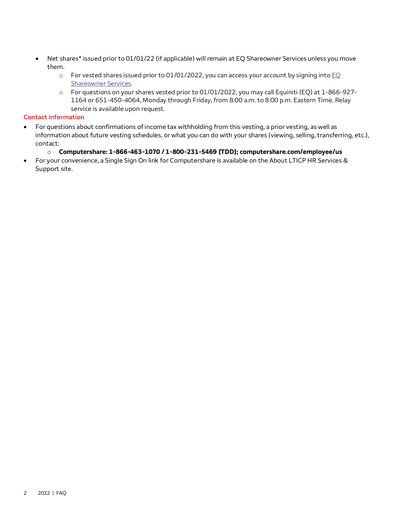- Net share[s\\*](#page-9-0) issued prior to 01/01/22 (if applicable) will remain at EQ Shareowner Services unless you move them.
	- $\circ$  For vested shares issued prior to 01/01/2022, you can access your account by signing into EQ [Shareowner Services.](http://www.shareowneronline.com/)
	- o For questions on your shares vested prior to 01/01/2022, you may call Equiniti (EQ) at 1-866-927- 1164 or 651-450-4064, Monday through Friday, from 8:00 a.m. to 8:00 p.m. Eastern Time. Relay service is available upon request.

### **Contact information**

• For questions about confirmations of income tax withholding from this vesting, a prior vesting, as well as information about future vesting schedules, or what you can do with your shares (viewing, selling, transferring, etc.), contact:

#### o **Computershare: 1-866-463-1070 / 1-800-231-5469 (TDD); [computershare.com/employee/us](http://www.computershare.com/employee/us)**

• For your convenience, a Single Sign On link for Computershare is available on the About LTICP HR Services & Support site.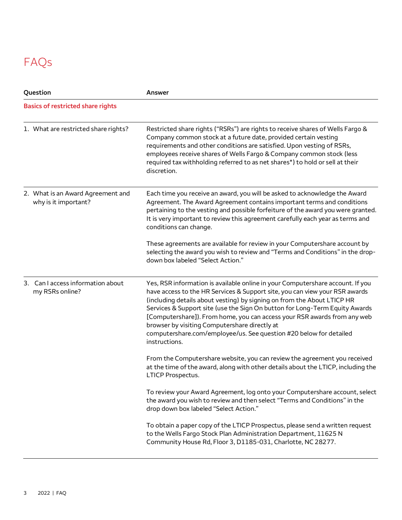# FAQs

| Question |                                                           | Answer                                                                                                                                                                                                                                                                                                                                                                                                                                                                                                                                      |  |
|----------|-----------------------------------------------------------|---------------------------------------------------------------------------------------------------------------------------------------------------------------------------------------------------------------------------------------------------------------------------------------------------------------------------------------------------------------------------------------------------------------------------------------------------------------------------------------------------------------------------------------------|--|
|          | <b>Basics of restricted share rights</b>                  |                                                                                                                                                                                                                                                                                                                                                                                                                                                                                                                                             |  |
|          | 1. What are restricted share rights?                      | Restricted share rights ("RSRs") are rights to receive shares of Wells Fargo &<br>Company common stock at a future date, provided certain vesting<br>requirements and other conditions are satisfied. Upon vesting of RSRs,<br>employees receive shares of Wells Fargo & Company common stock (less<br>required tax withholding referred to as net shares*) to hold or sell at their<br>discretion.                                                                                                                                         |  |
|          | 2. What is an Award Agreement and<br>why is it important? | Each time you receive an award, you will be asked to acknowledge the Award<br>Agreement. The Award Agreement contains important terms and conditions<br>pertaining to the vesting and possible forfeiture of the award you were granted.<br>It is very important to review this agreement carefully each year as terms and<br>conditions can change.                                                                                                                                                                                        |  |
|          |                                                           | These agreements are available for review in your Computershare account by<br>selecting the award you wish to review and "Terms and Conditions" in the drop-<br>down box labeled "Select Action."                                                                                                                                                                                                                                                                                                                                           |  |
|          | 3. Can I access information about<br>my RSRs online?      | Yes, RSR information is available online in your Computershare account. If you<br>have access to the HR Services & Support site, you can view your RSR awards<br>(including details about vesting) by signing on from the About LTICP HR<br>Services & Support site (use the Sign On button for Long-Term Equity Awards<br>[Computershare]). From home, you can access your RSR awards from any web<br>browser by visiting Computershare directly at<br>computershare.com/employee/us. See question #20 below for detailed<br>instructions. |  |
|          |                                                           | From the Computershare website, you can review the agreement you received<br>at the time of the award, along with other details about the LTICP, including the<br><b>LTICP Prospectus.</b>                                                                                                                                                                                                                                                                                                                                                  |  |
|          |                                                           | To review your Award Agreement, log onto your Computershare account, select<br>the award you wish to review and then select "Terms and Conditions" in the<br>drop down box labeled "Select Action."                                                                                                                                                                                                                                                                                                                                         |  |
|          |                                                           | To obtain a paper copy of the LTICP Prospectus, please send a written request<br>to the Wells Fargo Stock Plan Administration Department, 11625 N<br>Community House Rd, Floor 3, D1185-031, Charlotte, NC 28277.                                                                                                                                                                                                                                                                                                                           |  |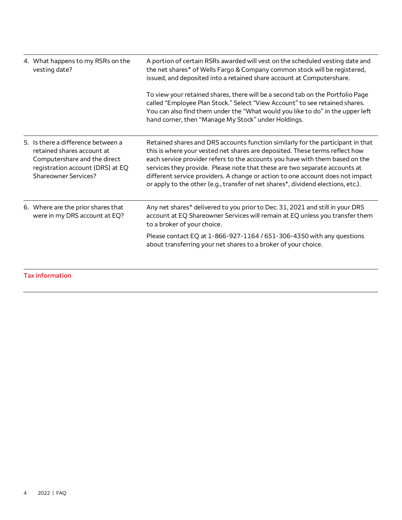| 4. What happens to my RSRs on the<br>vesting date?                                                                                                                  | A portion of certain RSRs awarded will vest on the scheduled vesting date and<br>the net shares* of Wells Fargo & Company common stock will be registered,<br>issued, and deposited into a retained share account at Computershare.<br>To view your retained shares, there will be a second tab on the Portfolio Page<br>called "Employee Plan Stock." Select "View Account" to see retained shares.<br>You can also find them under the "What would you like to do" in the upper left<br>hand corner, then "Manage My Stock" under Holdings. |
|---------------------------------------------------------------------------------------------------------------------------------------------------------------------|-----------------------------------------------------------------------------------------------------------------------------------------------------------------------------------------------------------------------------------------------------------------------------------------------------------------------------------------------------------------------------------------------------------------------------------------------------------------------------------------------------------------------------------------------|
| 5. Is there a difference between a<br>retained shares account at<br>Computershare and the direct<br>registration account (DRS) at EQ<br><b>Shareowner Services?</b> | Retained shares and DRS accounts function similarly for the participant in that<br>this is where your vested net shares are deposited. These terms reflect how<br>each service provider refers to the accounts you have with them based on the<br>services they provide. Please note that these are two separate accounts at<br>different service providers. A change or action to one account does not impact<br>or apply to the other (e.g., transfer of net shares*, dividend elections, etc.).                                            |
| 6. Where are the prior shares that<br>were in my DRS account at EQ?                                                                                                 | Any net shares* delivered to you prior to Dec. 31, 2021 and still in your DRS<br>account at EQ Shareowner Services will remain at EQ unless you transfer them<br>to a broker of your choice.                                                                                                                                                                                                                                                                                                                                                  |
|                                                                                                                                                                     | Please contact EQ at 1-866-927-1164 / 651-306-4350 with any questions<br>about transferring your net shares to a broker of your choice.                                                                                                                                                                                                                                                                                                                                                                                                       |

**Tax information**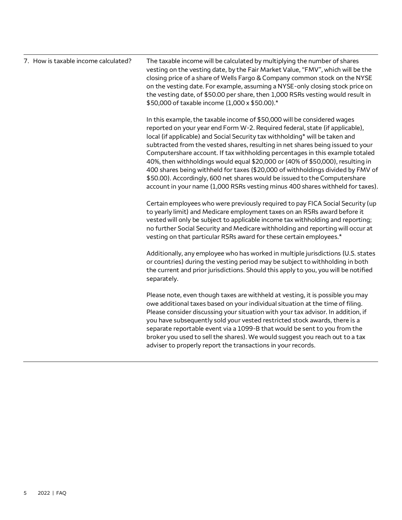| 7. How is taxable income calculated? | The taxable income will be calculated by multiplying the number of shares<br>vesting on the vesting date, by the Fair Market Value, "FMV", which will be the<br>closing price of a share of Wells Fargo & Company common stock on the NYSE<br>on the vesting date. For example, assuming a NYSE-only closing stock price on<br>the vesting date, of \$50.00 per share, then 1,000 RSRs vesting would result in<br>\$50,000 of taxable income (1,000 x \$50.00).*                                                                                                                                                                                                                                                                                  |
|--------------------------------------|---------------------------------------------------------------------------------------------------------------------------------------------------------------------------------------------------------------------------------------------------------------------------------------------------------------------------------------------------------------------------------------------------------------------------------------------------------------------------------------------------------------------------------------------------------------------------------------------------------------------------------------------------------------------------------------------------------------------------------------------------|
|                                      | In this example, the taxable income of \$50,000 will be considered wages<br>reported on your year end Form W-2. Required federal, state (if applicable),<br>local (if applicable) and Social Security tax withholding* will be taken and<br>subtracted from the vested shares, resulting in net shares being issued to your<br>Computershare account. If tax withholding percentages in this example totaled<br>40%, then withholdings would equal \$20,000 or (40% of \$50,000), resulting in<br>400 shares being withheld for taxes (\$20,000 of withholdings divided by FMV of<br>\$50.00). Accordingly, 600 net shares would be issued to the Computershare<br>account in your name (1,000 RSRs vesting minus 400 shares withheld for taxes). |
|                                      | Certain employees who were previously required to pay FICA Social Security (up<br>to yearly limit) and Medicare employment taxes on an RSRs award before it<br>vested will only be subject to applicable income tax withholding and reporting;<br>no further Social Security and Medicare withholding and reporting will occur at<br>vesting on that particular RSRs award for these certain employees.*                                                                                                                                                                                                                                                                                                                                          |
|                                      | Additionally, any employee who has worked in multiple jurisdictions (U.S. states<br>or countries) during the vesting period may be subject to withholding in both<br>the current and prior jurisdictions. Should this apply to you, you will be notified<br>separately.                                                                                                                                                                                                                                                                                                                                                                                                                                                                           |
|                                      | Please note, even though taxes are withheld at vesting, it is possible you may<br>owe additional taxes based on your individual situation at the time of filing.<br>Please consider discussing your situation with your tax advisor. In addition, if<br>you have subsequently sold your vested restricted stock awards, there is a<br>separate reportable event via a 1099-B that would be sent to you from the<br>broker you used to sell the shares). We would suggest you reach out to a tax<br>adviser to properly report the transactions in your records.                                                                                                                                                                                   |
|                                      |                                                                                                                                                                                                                                                                                                                                                                                                                                                                                                                                                                                                                                                                                                                                                   |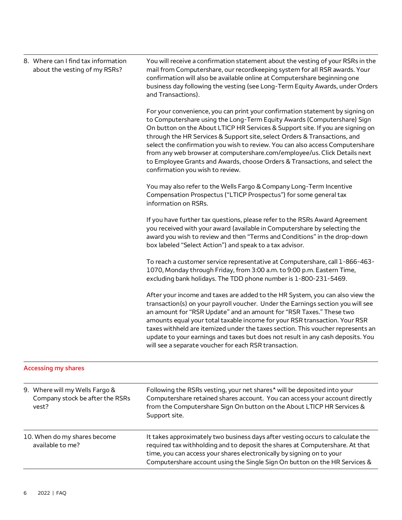| 8. Where can I find tax information<br>about the vesting of my RSRs?       | You will receive a confirmation statement about the vesting of your RSRs in the<br>mail from Computershare, our recordkeeping system for all RSR awards. Your<br>confirmation will also be available online at Computershare beginning one<br>business day following the vesting (see Long-Term Equity Awards, under Orders<br>and Transactions).                                                                                                                                                                                                                                                        |
|----------------------------------------------------------------------------|----------------------------------------------------------------------------------------------------------------------------------------------------------------------------------------------------------------------------------------------------------------------------------------------------------------------------------------------------------------------------------------------------------------------------------------------------------------------------------------------------------------------------------------------------------------------------------------------------------|
|                                                                            | For your convenience, you can print your confirmation statement by signing on<br>to Computershare using the Long-Term Equity Awards (Computershare) Sign<br>On button on the About LTICP HR Services & Support site. If you are signing on<br>through the HR Services & Support site, select Orders & Transactions, and<br>select the confirmation you wish to review. You can also access Computershare<br>from any web browser at computershare.com/employee/us. Click Details next<br>to Employee Grants and Awards, choose Orders & Transactions, and select the<br>confirmation you wish to review. |
|                                                                            | You may also refer to the Wells Fargo & Company Long-Term Incentive<br>Compensation Prospectus ("LTICP Prospectus") for some general tax<br>information on RSRs.                                                                                                                                                                                                                                                                                                                                                                                                                                         |
|                                                                            | If you have further tax questions, please refer to the RSRs Award Agreement<br>you received with your award (available in Computershare by selecting the<br>award you wish to review and then "Terms and Conditions" in the drop-down<br>box labeled "Select Action") and speak to a tax advisor.                                                                                                                                                                                                                                                                                                        |
|                                                                            | To reach a customer service representative at Computershare, call 1-866-463-<br>1070, Monday through Friday, from 3:00 a.m. to 9:00 p.m. Eastern Time,<br>excluding bank holidays. The TDD phone number is 1-800-231-5469.                                                                                                                                                                                                                                                                                                                                                                               |
|                                                                            | After your income and taxes are added to the HR System, you can also view the<br>transaction(s) on your payroll voucher. Under the Earnings section you will see<br>an amount for "RSR Update" and an amount for "RSR Taxes." These two<br>amounts equal your total taxable income for your RSR transaction. Your RSR<br>taxes withheld are itemized under the taxes section. This voucher represents an<br>update to your earnings and taxes but does not result in any cash deposits. You<br>will see a separate voucher for each RSR transaction.                                                     |
| <b>Accessing my shares</b>                                                 |                                                                                                                                                                                                                                                                                                                                                                                                                                                                                                                                                                                                          |
| 9. Where will my Wells Fargo &<br>Company stock be after the RSRs<br>vest? | Following the RSRs vesting, your net shares* will be deposited into your<br>Computershare retained shares account. You can access your account directly<br>from the Computershare Sign On button on the About LTICP HR Services &<br>Support site.                                                                                                                                                                                                                                                                                                                                                       |
| 10. When do my shares become<br>available to me?                           | It takes approximately two business days after vesting occurs to calculate the<br>required tax withholding and to deposit the shares at Computershare. At that<br>time, you can access your shares electronically by signing on to your<br>Computershare account using the Single Sign On button on the HR Services &                                                                                                                                                                                                                                                                                    |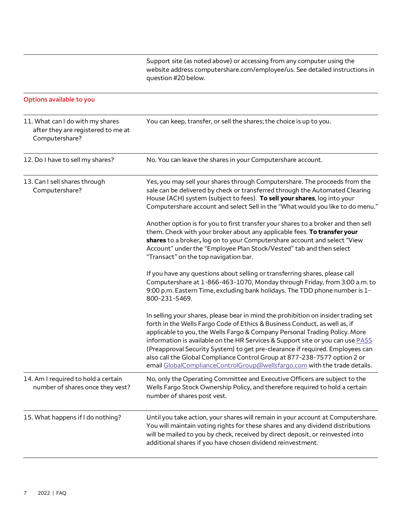Support site (as noted above) or accessing from any computer using the website address [computershare.com/employee/us.](http://www.computershare.com/employee/us) See detailed instructions in question #20 below.

## **Options available to you**

| 11. What can I do with my shares<br>after they are registered to me at<br>Computershare? | You can keep, transfer, or sell the shares; the choice is up to you.                                                                                                                                                                                                                                                                                                                                                                                                                                                                                                        |
|------------------------------------------------------------------------------------------|-----------------------------------------------------------------------------------------------------------------------------------------------------------------------------------------------------------------------------------------------------------------------------------------------------------------------------------------------------------------------------------------------------------------------------------------------------------------------------------------------------------------------------------------------------------------------------|
| 12. Do I have to sell my shares?                                                         | No. You can leave the shares in your Computershare account.                                                                                                                                                                                                                                                                                                                                                                                                                                                                                                                 |
| 13. Can I sell shares through<br>Computershare?                                          | Yes, you may sell your shares through Computershare. The proceeds from the<br>sale can be delivered by check or transferred through the Automated Clearing<br>House (ACH) system (subject to fees). To sell your shares, log into your<br>Computershare account and select Sell in the "What would you like to do menu."                                                                                                                                                                                                                                                    |
|                                                                                          | Another option is for you to first transfer your shares to a broker and then sell<br>them. Check with your broker about any applicable fees. To transfer your<br>shares to a broker, log on to your Computershare account and select "View<br>Account" under the "Employee Plan Stock/Vested" tab and then select<br>"Transact" on the top navigation bar.                                                                                                                                                                                                                  |
|                                                                                          | If you have any questions about selling or transferring shares, please call<br>Computershare at 1-866-463-1070, Monday through Friday, from 3:00 a.m. to<br>9:00 p.m. Eastern Time, excluding bank holidays. The TDD phone number is 1-<br>800-231-5469.                                                                                                                                                                                                                                                                                                                    |
|                                                                                          | In selling your shares, please bear in mind the prohibition on insider trading set<br>forth in the Wells Fargo Code of Ethics & Business Conduct, as well as, if<br>applicable to you, the Wells Fargo & Company Personal Trading Policy. More<br>information is available on the HR Services & Support site or you can use PASS<br>(Preapproval Security System) to get pre-clearance if required. Employees can<br>also call the Global Compliance Control Group at 877-238-7577 option 2 or<br>email GlobalComplianceControlGroup@wellsfargo.com with the trade details. |
| 14. Am I required to hold a certain<br>number of shares once they vest?                  | No, only the Operating Committee and Executive Officers are subject to the<br>Wells Fargo Stock Ownership Policy, and therefore required to hold a certain<br>number of shares post vest.                                                                                                                                                                                                                                                                                                                                                                                   |
| 15. What happens if I do nothing?                                                        | Until you take action, your shares will remain in your account at Computershare.<br>You will maintain voting rights for these shares and any dividend distributions<br>will be mailed to you by check, received by direct deposit, or reinvested into<br>additional shares if you have chosen dividend reinvestment.                                                                                                                                                                                                                                                        |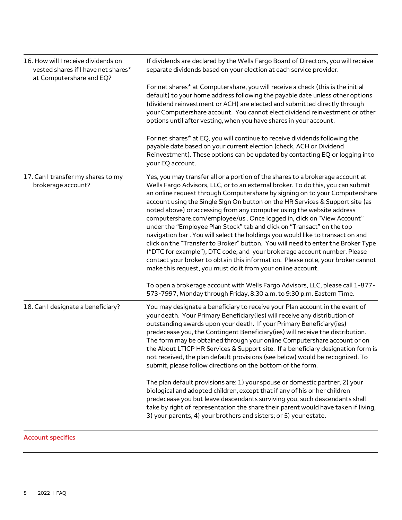| 16. How will I receive dividends on<br>vested shares if I have net shares*<br>at Computershare and EQ? | If dividends are declared by the Wells Fargo Board of Directors, you will receive<br>separate dividends based on your election at each service provider.                                                                                                                                                                                                                                                                                                                                                                                                                                                                                                                                                                                                                                                                                                                                                                                                           |  |
|--------------------------------------------------------------------------------------------------------|--------------------------------------------------------------------------------------------------------------------------------------------------------------------------------------------------------------------------------------------------------------------------------------------------------------------------------------------------------------------------------------------------------------------------------------------------------------------------------------------------------------------------------------------------------------------------------------------------------------------------------------------------------------------------------------------------------------------------------------------------------------------------------------------------------------------------------------------------------------------------------------------------------------------------------------------------------------------|--|
|                                                                                                        | For net shares* at Computershare, you will receive a check (this is the initial<br>default) to your home address following the payable date unless other options<br>(dividend reinvestment or ACH) are elected and submitted directly through<br>your Computershare account. You cannot elect dividend reinvestment or other<br>options until after vesting, when you have shares in your account.                                                                                                                                                                                                                                                                                                                                                                                                                                                                                                                                                                 |  |
|                                                                                                        | For net shares* at EQ, you will continue to receive dividends following the<br>payable date based on your current election (check, ACH or Dividend<br>Reinvestment). These options can be updated by contacting EQ or logging into<br>your EQ account.                                                                                                                                                                                                                                                                                                                                                                                                                                                                                                                                                                                                                                                                                                             |  |
| 17. Can I transfer my shares to my<br>brokerage account?                                               | Yes, you may transfer all or a portion of the shares to a brokerage account at<br>Wells Fargo Advisors, LLC, or to an external broker. To do this, you can submit<br>an online request through Computershare by signing on to your Computershare<br>account using the Single Sign On button on the HR Services & Support site (as<br>noted above) or accessing from any computer using the website address<br>computershare.com/employee/us. Once logged in, click on "View Account"<br>under the "Employee Plan Stock" tab and click on "Transact" on the top<br>navigation bar. You will select the holdings you would like to transact on and<br>click on the "Transfer to Broker" button. You will need to enter the Broker Type<br>("DTC for example"), DTC code, and your brokerage account number. Please<br>contact your broker to obtain this information. Please note, your broker cannot<br>make this request, you must do it from your online account. |  |
|                                                                                                        | To open a brokerage account with Wells Fargo Advisors, LLC, please call 1-877-<br>573-7997, Monday through Friday, 8:30 a.m. to 9:30 p.m. Eastern Time.                                                                                                                                                                                                                                                                                                                                                                                                                                                                                                                                                                                                                                                                                                                                                                                                            |  |
| 18. Can I designate a beneficiary?                                                                     | You may designate a beneficiary to receive your Plan account in the event of<br>your death. Your Primary Beneficiary (ies) will receive any distribution of<br>outstanding awards upon your death. If your Primary Beneficiary (ies)<br>predecease you, the Contingent Beneficiary (ies) will receive the distribution.<br>The form may be obtained through your online Computershare account or on<br>the About LTICP HR Services & Support site. If a beneficiary designation form is<br>not received, the plan default provisions (see below) would be recognized. To<br>submit, please follow directions on the bottom of the form.                                                                                                                                                                                                                                                                                                                            |  |
|                                                                                                        | The plan default provisions are: 1) your spouse or domestic partner, 2) your<br>biological and adopted children, except that if any of his or her children<br>predecease you but leave descendants surviving you, such descendants shall<br>take by right of representation the share their parent would have taken if living,<br>3) your parents, 4) your brothers and sisters; or 5) your estate.                                                                                                                                                                                                                                                                                                                                                                                                                                                                                                                                                                |  |

**Account specifics**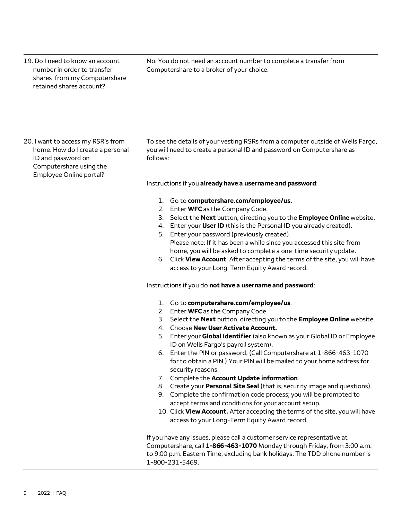19. Do I need to know an account number in order to transfer shares from my Computershare retained shares account?

No. You do not need an account number to complete a transfer from Computershare to a broker of your choice.

20. I want to access my RSR's from home. How do I create a personal ID and password on Computershare using the Employee Online portal?

To see the details of your vesting RSRs from a computer outside of Wells Fargo, you will need to create a personal ID and password on Computershare as follows:

Instructions if you **already have a username and password**:

- 1. Go to **[computershare.com/employee/us.](http://www.computershare.com/employee/us)**
- 2. Enter **WFC** as the Company Code.
- 3. Select the **Next** button, directing you to the **Employee Online** website.
- 4. Enter your **User ID** (this is the Personal ID you already created).
- 5. Enter your password (previously created). Please note: If it has been a while since you accessed this site from home, you will be asked to complete a one-time security update.
- 6. Click **View Account**. After accepting the terms of the site, you will have access to your Long-Term Equity Award record.

Instructions if you do **not have a username and password**:

- 1. Go to **[computershare.com/employee/us](http://www.computershare.com/employee/us)**.
- 2. Enter **WFC** as the Company Code.
- 3. Select the **Next** button, directing you to the **Employee Online** website.
- 4. Choose **New User Activate Account.**
- 5. Enter your **Global Identifier** (also known as your Global ID or Employee ID on Wells Fargo's payroll system).
- 6. Enter the PIN or password. (Call Computershare at 1-866-463-1070 for to obtain a PIN.) Your PIN will be mailed to your home address for security reasons.
- 7. Complete the **Account Update information**.
- 8. Create your **Personal Site Seal** (that is, security image and questions).
- 9. Complete the confirmation code process; you will be prompted to accept terms and conditions for your account setup.
- 10. Click **View Account.** After accepting the terms of the site, you will have access to your Long-Term Equity Award record.

If you have any issues, please call a customer service representative at Computershare, call **1-866-463-1070** Monday through Friday, from 3:00 a.m. to 9:00 p.m. Eastern Time, excluding bank holidays. The TDD phone number is 1-800-231-5469.